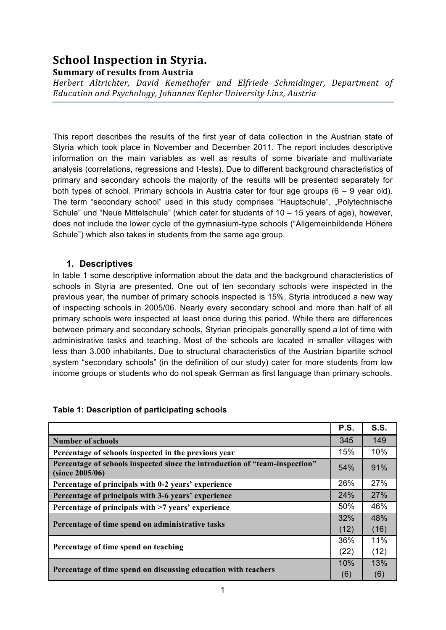# **School Inspection in Styria. Summary of results from Austria**

*Herbert Altrichter, David Kemethofer und Elfriede Schmidinger, Department of Education and Psychology, Johannes Kepler University Linz, Austria*

This report describes the results of the first year of data collection in the Austrian state of Styria which took place in November and December 2011. The report includes descriptive information on the main variables as well as results of some bivariate and multivariate analysis (correlations, regressions and t-tests). Due to different background characteristics of primary and secondary schools the majority of the results will be presented separately for both types of school. Primary schools in Austria cater for four age groups  $(6 - 9$  year old). The term "secondary school" used in this study comprises "Hauptschule", "Polytechnische Schule" und "Neue Mittelschule" (which cater for students of 10 – 15 years of age), however, does not include the lower cycle of the gymnasium-type schools ("Allgemeinbildende Höhere Schule") which also takes in students from the same age group.

## **1. Descriptives**

In table 1 some descriptive information about the data and the background characteristics of schools in Styria are presented. One out of ten secondary schools were inspected in the previous year, the number of primary schools inspected is 15%. Styria introduced a new way of inspecting schools in 2005/06. Nearly every secondary school and more than half of all primary schools were inspected at least once during this period. While there are differences between primary and secondary schools, Styrian principals generallly spend a lot of time with administrative tasks and teaching. Most of the schools are located in smaller villages with less than 3.000 inhabitants. Due to structural characteristics of the Austrian bipartite school system "secondary schools" (in the definition of our study) cater for more students from low income groups or students who do not speak German as first language than primary schools.

|                                                                                                | <b>P.S.</b> | S.S. |
|------------------------------------------------------------------------------------------------|-------------|------|
| <b>Number of schools</b>                                                                       | 345         | 149  |
| Percentage of schools inspected in the previous year                                           | 15%         | 10%  |
| Percentage of schools inspected since the introduction of "team-inspection"<br>(since 2005/06) | 54%         | 91%  |
| Percentage of principals with 0-2 years' experience                                            | 26%         | 27%  |
| Percentage of principals with 3-6 years' experience                                            | 24%         | 27%  |
| Percentage of principals with >7 years' experience                                             | 50%         | 46%  |
|                                                                                                |             | 48%  |
| Percentage of time spend on administrative tasks                                               | (12)        | (16) |
|                                                                                                |             | 11%  |
| Percentage of time spend on teaching                                                           | (22)        | (12) |
|                                                                                                |             | 13%  |
| Percentage of time spend on discussing education with teachers                                 | (6)         | (6)  |

## **Table 1: Description of participating schools**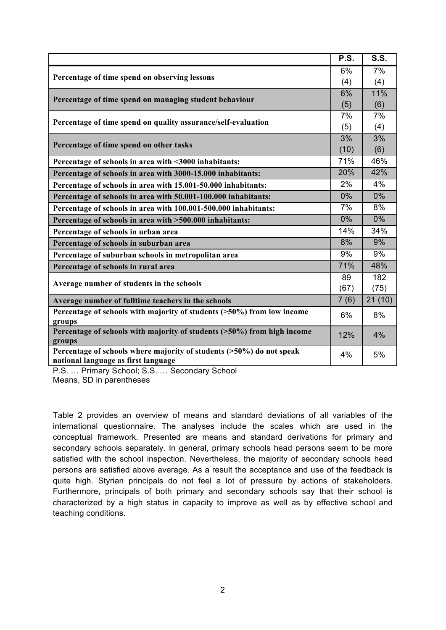|                                                                                | P.S. | <b>S.S.</b> |
|--------------------------------------------------------------------------------|------|-------------|
|                                                                                | 6%   | 7%          |
| Percentage of time spend on observing lessons                                  | (4)  | (4)         |
| Percentage of time spend on managing student behaviour                         | 6%   | 11%         |
|                                                                                | (5)  | (6)         |
| Percentage of time spend on quality assurance/self-evaluation                  | 7%   | 7%          |
|                                                                                | (5)  | (4)         |
| Percentage of time spend on other tasks                                        | 3%   | 3%          |
|                                                                                | (10) | (6)         |
| Percentage of schools in area with <3000 inhabitants:                          | 71%  | 46%         |
| Percentage of schools in area with 3000-15.000 inhabitants:                    | 20%  | 42%         |
| Percentage of schools in area with 15.001-50.000 inhabitants:                  | 2%   | 4%          |
| Percentage of schools in area with 50.001-100.000 inhabitants:                 | 0%   | $0\%$       |
| Percentage of schools in area with 100.001-500.000 inhabitants:                | 7%   | 8%          |
| Percentage of schools in area with >500.000 inhabitants:                       | 0%   | 0%          |
| Percentage of schools in urban area                                            | 14%  | 34%         |
| Percentage of schools in suburban area                                         | 8%   | 9%          |
| Percentage of suburban schools in metropolitan area                            | 9%   | 9%          |
| Percentage of schools in rural area                                            | 71%  | 48%         |
|                                                                                | 89   | 182         |
| Average number of students in the schools                                      | (67) | (75)        |
| Average number of fulltime teachers in the schools                             | 7(6) | 21(10)      |
| Percentage of schools with majority of students (>50%) from low income         | 6%   | 8%          |
| groups                                                                         |      |             |
| Percentage of schools with majority of students (>50%) from high income        | 12%  | 4%          |
| groups<br>Percentage of schools where majority of students (>50%) do not speak |      |             |
| national language as first language                                            | 4%   | 5%          |

P.S. … Primary School; S.S. … Secondary School Means, SD in parentheses

Table 2 provides an overview of means and standard deviations of all variables of the international questionnaire. The analyses include the scales which are used in the conceptual framework. Presented are means and standard derivations for primary and secondary schools separately. In general, primary schools head persons seem to be more satisfied with the school inspection. Nevertheless, the majority of secondary schools head persons are satisfied above average. As a result the acceptance and use of the feedback is quite high. Styrian principals do not feel a lot of pressure by actions of stakeholders. Furthermore, principals of both primary and secondary schools say that their school is characterized by a high status in capacity to improve as well as by effective school and teaching conditions.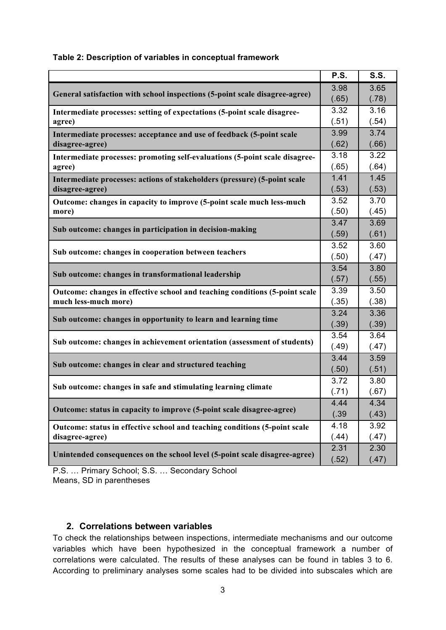|                                                                             | P.S.          | <b>S.S.</b>   |
|-----------------------------------------------------------------------------|---------------|---------------|
| General satisfaction with school inspections (5-point scale disagree-agree) | 3.98          | 3.65          |
|                                                                             | (.65)         | (.78)         |
| Intermediate processes: setting of expectations (5-point scale disagree-    | 3.32          | 3.16          |
| agree)                                                                      | (.51)         | (.54)         |
| Intermediate processes: acceptance and use of feedback (5-point scale       | 3.99          | 3.74          |
| disagree-agree)                                                             | (.62)         | (.66)         |
| Intermediate processes: promoting self-evaluations (5-point scale disagree- | 3.18          | 3.22          |
| agree)                                                                      | (.65)         | (.64)         |
| Intermediate processes: actions of stakeholders (pressure) (5-point scale   | 1.41          | 1.45          |
| disagree-agree)                                                             | (.53)         | (.53)         |
| Outcome: changes in capacity to improve (5-point scale much less-much       | 3.52          | 3.70          |
| more)                                                                       | (.50)         | (.45)         |
| Sub outcome: changes in participation in decision-making                    | 3.47          | 3.69          |
|                                                                             | (.59)<br>3.52 | (.61)         |
| Sub outcome: changes in cooperation between teachers                        |               | 3.60          |
|                                                                             | (.50)         | (.47)         |
| Sub outcome: changes in transformational leadership                         | 3.54          | 3.80          |
|                                                                             | (.57)         | (.55)         |
| Outcome: changes in effective school and teaching conditions (5-point scale | 3.39          | 3.50          |
| much less-much more)                                                        | (.35)<br>3.24 | (.38)         |
| Sub outcome: changes in opportunity to learn and learning time              | (.39)         | 3.36<br>(.39) |
|                                                                             | 3.54          | 3.64          |
| Sub outcome: changes in achievement orientation (assessment of students)    | (.49)         | (.47)         |
|                                                                             | 3.44          | 3.59          |
| Sub outcome: changes in clear and structured teaching                       | (.50)         | (.51)         |
|                                                                             | 3.72          | 3.80          |
| Sub outcome: changes in safe and stimulating learning climate               | (.71)         | (.67)         |
|                                                                             | 4.44          | 4.34          |
| Outcome: status in capacity to improve (5-point scale disagree-agree)       | (.39)         | (.43)         |
| Outcome: status in effective school and teaching conditions (5-point scale  | 4.18          | 3.92          |
| disagree-agree)                                                             | (.44)         | (.47)         |
|                                                                             | 2.31          | 2.30          |
| Unintended consequences on the school level (5-point scale disagree-agree)  | (.52)         | (.47)         |

#### **Table 2: Description of variables in conceptual framework**

P.S. … Primary School; S.S. … Secondary School Means, SD in parentheses

## **2. Correlations between variables**

To check the relationships between inspections, intermediate mechanisms and our outcome variables which have been hypothesized in the conceptual framework a number of correlations were calculated. The results of these analyses can be found in tables 3 to 6. According to preliminary analyses some scales had to be divided into subscales which are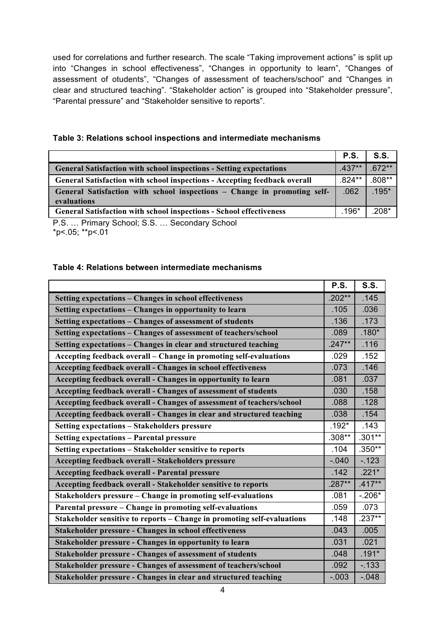used for correlations and further research. The scale "Taking improvement actions" is split up into "Changes in school effectiveness", "Changes in opportunity to learn", "Changes of assessment of otudents", "Changes of assessment of teachers/school" and "Changes in clear and structured teaching". "Stakeholder action" is grouped into "Stakeholder pressure", "Parental pressure" and "Stakeholder sensitive to reports".

| Table 3: Relations school inspections and intermediate mechanisms |  |  |
|-------------------------------------------------------------------|--|--|
|                                                                   |  |  |

|                                                                                         | <b>P.S.</b> | S.S.     |
|-----------------------------------------------------------------------------------------|-------------|----------|
| <b>General Satisfaction with school inspections - Setting expectations</b>              | $.437**$    | $.672**$ |
| <b>General Satisfaction with school inspections - Accepting feedback overall</b>        | $.824**$    | $.808**$ |
| General Satisfaction with school inspections - Change in promoting self-<br>evaluations | .062        | $.195*$  |
| <b>General Satisfaction with school inspections - School effectiveness</b>              | $.196*$     | $.208*$  |

P.S. … Primary School; S.S. … Secondary School \*p<.05; \*\*p<.01

#### **Table 4: Relations between intermediate mechanisms**

|                                                                         | P.S.     | S.S.     |
|-------------------------------------------------------------------------|----------|----------|
| Setting expectations - Changes in school effectiveness                  | $.202**$ | .145     |
| Setting expectations - Changes in opportunity to learn                  | .105     | .036     |
| Setting expectations - Changes of assessment of students                | .136     | .173     |
| Setting expectations - Changes of assessment of teachers/school         | .089     | $.180*$  |
| Setting expectations - Changes in clear and structured teaching         | $.247**$ | .116     |
| Accepting feedback overall - Change in promoting self-evaluations       | .029     | .152     |
| Accepting feedback overall - Changes in school effectiveness            | .073     | .146     |
| Accepting feedback overall - Changes in opportunity to learn            | .081     | .037     |
| Accepting feedback overall - Changes of assessment of students          | .030     | .158     |
| Accepting feedback overall - Changes of assessment of teachers/school   | .088     | .128     |
| Accepting feedback overall - Changes in clear and structured teaching   | .038     | .154     |
| Setting expectations - Stakeholders pressure                            | $.192*$  | .143     |
| <b>Setting expectations - Parental pressure</b>                         | $.308**$ | $.301**$ |
| Setting expectations - Stakeholder sensitive to reports                 | .104     | $.350**$ |
| Accepting feedback overall - Stakeholders pressure                      | $-.040$  | $-123$   |
| <b>Accepting feedback overall - Parental pressure</b>                   | .142     | $.221*$  |
| Accepting feedback overall - Stakeholder sensitive to reports           | $.287**$ | $.417**$ |
| Stakeholders pressure - Change in promoting self-evaluations            | .081     | $-.206*$ |
| Parental pressure - Change in promoting self-evaluations                | .059     | .073     |
| Stakeholder sensitive to reports - Change in promoting self-evaluations | .148     | $.237**$ |
| <b>Stakeholder pressure - Changes in school effectiveness</b>           | .043     | .005     |
| Stakeholder pressure - Changes in opportunity to learn                  | .031     | .021     |
| <b>Stakeholder pressure - Changes of assessment of students</b>         | .048     | $.191*$  |
| Stakeholder pressure - Changes of assessment of teachers/school         | .092     | $-133$   |
| Stakeholder pressure - Changes in clear and structured teaching         | $-.003$  | $-.048$  |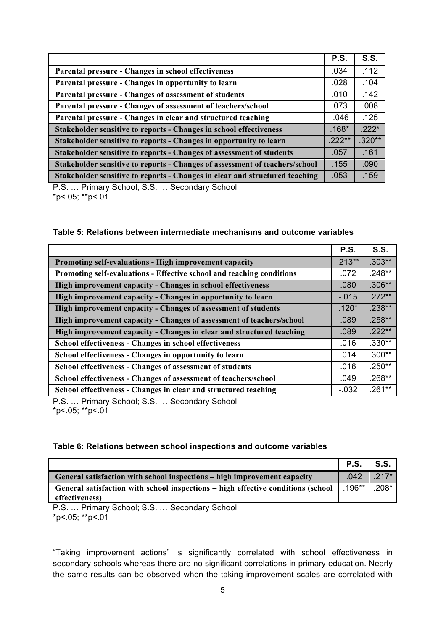|                                                                             | <b>P.S.</b> | <b>S.S.</b> |
|-----------------------------------------------------------------------------|-------------|-------------|
| Parental pressure - Changes in school effectiveness                         | .034        | .112        |
| Parental pressure - Changes in opportunity to learn                         | .028        | .104        |
| Parental pressure - Changes of assessment of students                       | .010        | .142        |
| Parental pressure - Changes of assessment of teachers/school                | .073        | .008        |
| Parental pressure - Changes in clear and structured teaching                | $-0.046$    | .125        |
| Stakeholder sensitive to reports - Changes in school effectiveness          | $.168*$     | $.222*$     |
| Stakeholder sensitive to reports - Changes in opportunity to learn          | $.222**$    | $.320**$    |
| Stakeholder sensitive to reports - Changes of assessment of students        | .057        | .161        |
| Stakeholder sensitive to reports - Changes of assessment of teachers/school | .155        | .090        |
| Stakeholder sensitive to reports - Changes in clear and structured teaching | .053        | .159        |

P.S. … Primary School; S.S. … Secondary School \*p<.05; \*\*p<.01

#### **Table 5: Relations between intermediate mechanisms and outcome variables**

|                                                                       | <b>P.S.</b> | <b>S.S.</b> |
|-----------------------------------------------------------------------|-------------|-------------|
| Promoting self-evaluations - High improvement capacity                | $.213**$    | $.303**$    |
| Promoting self-evaluations - Effective school and teaching conditions | .072        | $.248**$    |
| High improvement capacity - Changes in school effectiveness           | .080        | $.306**$    |
| High improvement capacity - Changes in opportunity to learn           | $-.015$     | $.272**$    |
| High improvement capacity - Changes of assessment of students         | $.120*$     | $.238***$   |
| High improvement capacity - Changes of assessment of teachers/school  | .089        | $.258**$    |
| High improvement capacity - Changes in clear and structured teaching  | .089        | $.222**$    |
| <b>School effectiveness - Changes in school effectiveness</b>         | .016        | $.330**$    |
| School effectiveness - Changes in opportunity to learn                | .014        | $.300**$    |
| School effectiveness - Changes of assessment of students              | .016        | $.250**$    |
| School effectiveness - Changes of assessment of teachers/school       | .049        | $.268**$    |
| School effectiveness - Changes in clear and structured teaching       | $-.032$     | $.261**$    |

P.S. … Primary School; S.S. … Secondary School  $*p<.05$ ;  $*p<.01$ 

| Table 6: Relations between school inspections and outcome variables |  |  |  |
|---------------------------------------------------------------------|--|--|--|
|---------------------------------------------------------------------|--|--|--|

|                                                                                  | P.S.           | S.S.    |
|----------------------------------------------------------------------------------|----------------|---------|
| General satisfaction with school inspections – high improvement capacity         | $.042$ $.217*$ |         |
| General satisfaction with school inspections – high effective conditions (school | $.196**$       | $.208*$ |
| effectiveness)                                                                   |                |         |
| $Primary$ School: $S$ $S$<br>Secondary School<br>P S                             |                |         |

P.S. … Primary School; S.S. … Secondary School \*p<.05; \*\*p<.01

"Taking improvement actions" is significantly correlated with school effectiveness in secondary schools whereas there are no significant correlations in primary education. Nearly the same results can be observed when the taking improvement scales are correlated with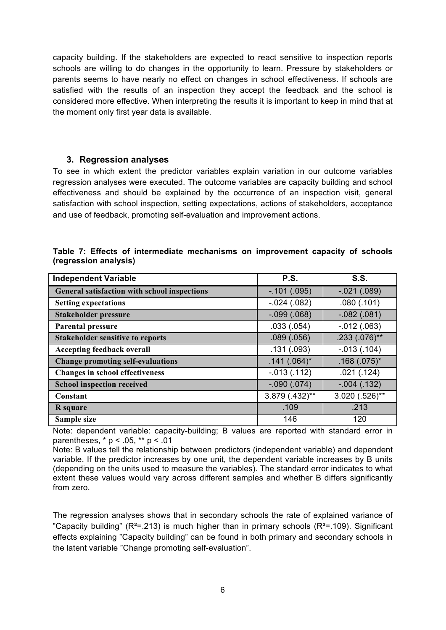capacity building. If the stakeholders are expected to react sensitive to inspection reports schools are willing to do changes in the opportunity to learn. Pressure by stakeholders or parents seems to have nearly no effect on changes in school effectiveness. If schools are satisfied with the results of an inspection they accept the feedback and the school is considered more effective. When interpreting the results it is important to keep in mind that at the moment only first year data is available.

#### **3. Regression analyses**

To see in which extent the predictor variables explain variation in our outcome variables regression analyses were executed. The outcome variables are capacity building and school effectiveness and should be explained by the occurrence of an inspection visit, general satisfaction with school inspection, setting expectations, actions of stakeholders, acceptance and use of feedback, promoting self-evaluation and improvement actions.

| <b>Independent Variable</b>                  | P.S.            | <b>S.S.</b>      |
|----------------------------------------------|-----------------|------------------|
| General satisfaction with school inspections | $-.101(.095)$   | $-.021(.089)$    |
| <b>Setting expectations</b>                  | $-.024(.082)$   | .080(.101)       |
| <b>Stakeholder pressure</b>                  | $-0.099(0.068)$ | $-.082(.081)$    |
| Parental pressure                            | .033(.054)      | $-.012(.063)$    |
| <b>Stakeholder sensitive to reports</b>      | .089(.056)      | $.233(.076)$ **  |
| <b>Accepting feedback overall</b>            | .131(.093)      | $-.013(.104)$    |
| <b>Change promoting self-evaluations</b>     | $.141(.064)$ *  | $.168(.075)$ *   |
| <b>Changes in school effectiveness</b>       | $-.013(.112)$   | .021(.124)       |
| <b>School inspection received</b>            | $-.090(.074)$   | $-.004(.132)$    |
| Constant                                     | 3.879 (.432)**  | $3.020(.526)$ ** |
| R square                                     | .109            | .213             |
| Sample size                                  | 146             | 120              |

|  |                       |  |  | Table 7: Effects of intermediate mechanisms on improvement capacity of schools |  |  |
|--|-----------------------|--|--|--------------------------------------------------------------------------------|--|--|
|  | (regression analysis) |  |  |                                                                                |  |  |

Note: dependent variable: capacity-building; B values are reported with standard error in parentheses,  $* p < .05$ ,  $** p < .01$ 

Note: B values tell the relationship between predictors (independent variable) and dependent variable. If the predictor increases by one unit, the dependent variable increases by B units (depending on the units used to measure the variables). The standard error indicates to what extent these values would vary across different samples and whether B differs significantly from zero.

The regression analyses shows that in secondary schools the rate of explained variance of "Capacity building" ( $R^2$ =.213) is much higher than in primary schools ( $R^2$ =.109). Significant effects explaining "Capacity building" can be found in both primary and secondary schools in the latent variable "Change promoting self-evaluation".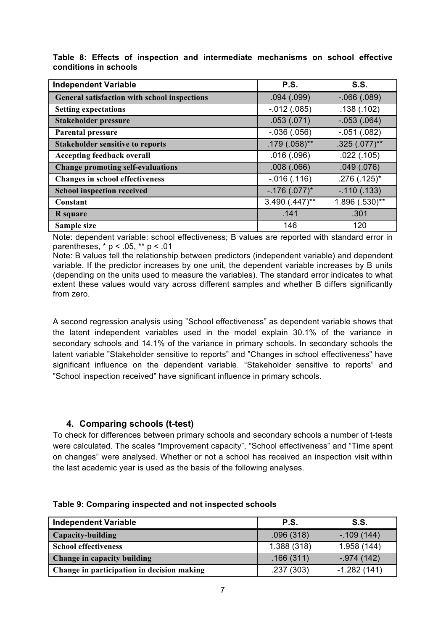| <b>Independent Variable</b>                  | <b>P.S.</b>      | S.S.              |
|----------------------------------------------|------------------|-------------------|
| General satisfaction with school inspections | .094(.099)       | $-0.066$ $(.089)$ |
| <b>Setting expectations</b>                  | $-.012(.085)$    | .138(.102)        |
| <b>Stakeholder pressure</b>                  | .053(.071)       | $-.053(.064)$     |
| <b>Parental pressure</b>                     | $-.036(.056)$    | $-.051(.082)$     |
| <b>Stakeholder sensitive to reports</b>      | $.179(.058)$ **  | $.325(.077)$ **   |
| <b>Accepting feedback overall</b>            | .016(.096)       | .022(.105)        |
| <b>Change promoting self-evaluations</b>     | .008(.066)       | .049(.076)        |
| <b>Changes in school effectiveness</b>       | $-.016(.116)$    | $.276(.125)^*$    |
| <b>School inspection received</b>            | $-.176(.077)^*$  | $-.110(.133)$     |
| Constant                                     | $3.490(.447)$ ** | 1.896 (.530)**    |
| R square                                     | .141             | .301              |
| Sample size                                  | 146              | 120               |

**Table 8: Effects of inspection and intermediate mechanisms on school effective conditions in schools**

Note: dependent variable: school effectiveness; B values are reported with standard error in parentheses, \* p < .05, \*\* p < .01

Note: B values tell the relationship between predictors (independent variable) and dependent variable. If the predictor increases by one unit, the dependent variable increases by B units (depending on the units used to measure the variables). The standard error indicates to what extent these values would vary across different samples and whether B differs significantly from zero.

A second regression analysis using "School effectiveness" as dependent variable shows that the latent independent variables used in the model explain 30.1% of the variance in secondary schools and 14.1% of the variance in primary schools. In secondary schools the latent variable "Stakeholder sensitive to reports" and "Changes in school effectiveness" have significant influence on the dependent variable. "Stakeholder sensitive to reports" and "School inspection received" have significant influence in primary schools.

## **4. Comparing schools (t-test)**

To check for differences between primary schools and secondary schools a number of t-tests were calculated. The scales "Improvement capacity", "School effectiveness" and "Time spent on changes" were analysed. Whether or not a school has received an inspection visit within the last academic year is used as the basis of the following analyses.

| <b>Independent Variable</b>                | P.S.        | S.S.          |
|--------------------------------------------|-------------|---------------|
| Capacity-building                          | .096(318)   | $-109(144)$   |
| <b>School effectiveness</b>                | 1.388 (318) | 1.958 (144)   |
| Change in capacity building                | .166(311)   | $-.974(142)$  |
| Change in participation in decision making | .237(303)   | $-1.282(141)$ |

**Table 9: Comparing inspected and not inspected schools**